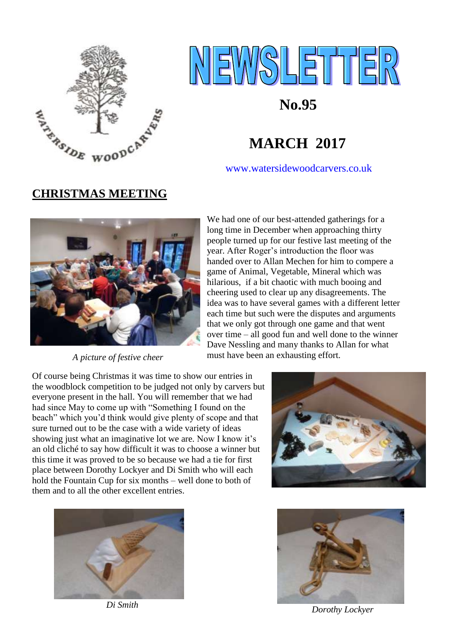



## **No.95**

[www.watersidewoodcarvers.co.uk](http://www.watersidewoodcarvers.co.uk/)

# **CHRISTMAS MEETING**



*A picture of festive cheer* 

We had one of our best-attended gatherings for a long time in December when approaching thirty people turned up for our festive last meeting of the year. After Roger's introduction the floor was handed over to Allan Mechen for him to compere a game of Animal, Vegetable, Mineral which was hilarious, if a bit chaotic with much booing and cheering used to clear up any disagreements. The idea was to have several games with a different letter each time but such were the disputes and arguments that we only got through one game and that went over time – all good fun and well done to the winner Dave Nessling and many thanks to Allan for what must have been an exhausting effort.

Of course being Christmas it was time to show our entries in the woodblock competition to be judged not only by carvers but everyone present in the hall. You will remember that we had had since May to come up with "Something I found on the beach" which you'd think would give plenty of scope and that sure turned out to be the case with a wide variety of ideas showing just what an imaginative lot we are. Now I know it's an old cliché to say how difficult it was to choose a winner but this time it was proved to be so because we had a tie for first place between Dorothy Lockyer and Di Smith who will each hold the Fountain Cup for six months – well done to both of them and to all the other excellent entries.





 *Di Smith* 



*Dorothy Lockyer*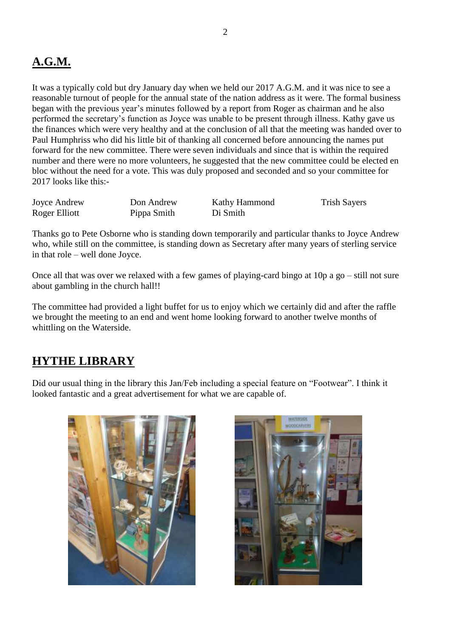#### **A.G.M.**

It was a typically cold but dry January day when we held our 2017 A.G.M. and it was nice to see a reasonable turnout of people for the annual state of the nation address as it were. The formal business began with the previous year's minutes followed by a report from Roger as chairman and he also performed the secretary's function as Joyce was unable to be present through illness. Kathy gave us the finances which were very healthy and at the conclusion of all that the meeting was handed over to Paul Humphriss who did his little bit of thanking all concerned before announcing the names put forward for the new committee. There were seven individuals and since that is within the required number and there were no more volunteers, he suggested that the new committee could be elected en bloc without the need for a vote. This was duly proposed and seconded and so your committee for 2017 looks like this:-

| Joyce Andrew  | Don Andrew  | Kathy Hammond | <b>Trish Sayers</b> |
|---------------|-------------|---------------|---------------------|
| Roger Elliott | Pippa Smith | Di Smith      |                     |

Thanks go to Pete Osborne who is standing down temporarily and particular thanks to Joyce Andrew who, while still on the committee, is standing down as Secretary after many years of sterling service in that role – well done Joyce.

Once all that was over we relaxed with a few games of playing-card bingo at 10p a go – still not sure about gambling in the church hall!!

The committee had provided a light buffet for us to enjoy which we certainly did and after the raffle we brought the meeting to an end and went home looking forward to another twelve months of whittling on the Waterside.

#### **HYTHE LIBRARY**

Did our usual thing in the library this Jan/Feb including a special feature on "Footwear". I think it looked fantastic and a great advertisement for what we are capable of.



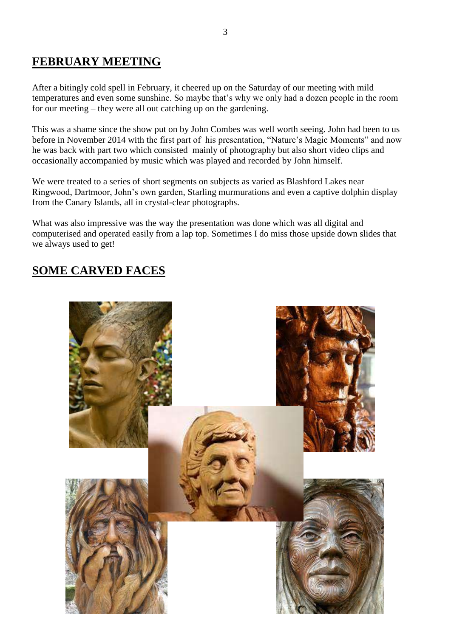#### **FEBRUARY MEETING**

After a bitingly cold spell in February, it cheered up on the Saturday of our meeting with mild temperatures and even some sunshine. So maybe that's why we only had a dozen people in the room for our meeting – they were all out catching up on the gardening.

This was a shame since the show put on by John Combes was well worth seeing. John had been to us before in November 2014 with the first part of his presentation, "Nature's Magic Moments" and now he was back with part two which consisted mainly of photography but also short video clips and occasionally accompanied by music which was played and recorded by John himself.

We were treated to a series of short segments on subjects as varied as Blashford Lakes near Ringwood, Dartmoor, John's own garden, Starling murmurations and even a captive dolphin display from the Canary Islands, all in crystal-clear photographs.

What was also impressive was the way the presentation was done which was all digital and computerised and operated easily from a lap top. Sometimes I do miss those upside down slides that we always used to get!

### **SOME CARVED FACES**